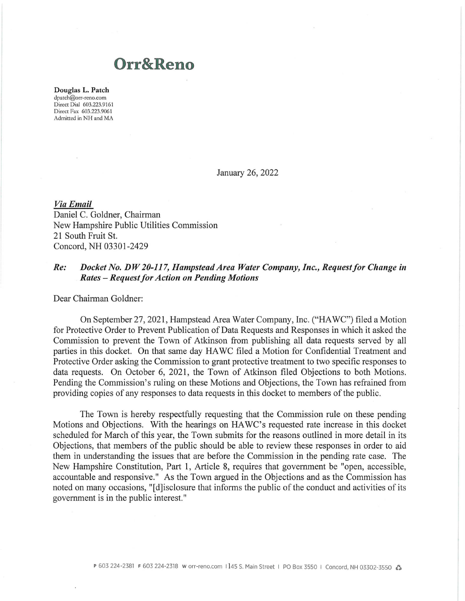## **Orr&Reno**

**Douglas L. Patch**  dpatch@orr-reno.com Direct Dial 603.223.9161 Direct Fax 603.223. 9061 Admitted in NH and MA

January 26, 2022

*Via Email*  Daniel C. Goldner, Chairman New Hampshire Public Utilities Commission 21 South Fruit St. Concord, NH 03301-2429

## *Re: Docket No. DW 20-117, Hampstead Area Water Company, Inc., Request for Change in Rates-Request/or Action on Pending Motions*

Dear Chairman Goldner:

On September 27, 2021 , Hampstead Area Water Company, Inc. ("HAWC") filed a Motion for Protective Order to Prevent Publication of Data Requests and Responses in which it asked the Commission to prevent the Town of Atkinson from publishing all data requests served by all parties in this docket. On that same day HAWC filed a Motion for Confidential Treatment and Protective Order asking the Commission to grant protective treatment to two specific responses to data requests. On October 6, 2021, the Town of Atkinson filed Objections to both Motions. Pending the Commission's ruling on these Motions and Objections, the Town has refrained from providing copies of any responses to data requests in this docket to members of the public.

The Town is hereby respectfully requesting that the Commission rule on these pending Motions and Objections. With the hearings on HA WC's requested rate increase in this docket scheduled for March of this year, the Town submits for the reasons outlined in more detail in its Objections, that members of the public should be able to review these responses in order to aid them in understanding the issues that are before the Commission in the pending rate case. The New Hampshire Constitution, Part 1, Article 8, requires that government be "open, accessible, accountable and responsive." As the Town argued in the Objections and as the Commission has noted on many occasions, "[d] isclosure that informs the public of the conduct and activities of its government is in the public interest."